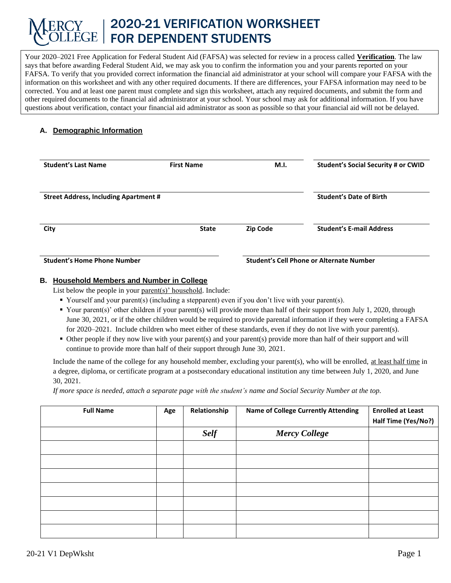# 2020-21 VERIFICATION WORKSHEET FOR DEPENDENT STUDENTS

Your 2020–2021 Free Application for Federal Student Aid (FAFSA) was selected for review in a process called **Verification**. The law says that before awarding Federal Student Aid, we may ask you to confirm the information you and your parents reported on your FAFSA. To verify that you provided correct information the financial aid administrator at your school will compare your FAFSA with the information on this worksheet and with any other required documents. If there are differences, your FAFSA information may need to be corrected. You and at least one parent must complete and sign this worksheet, attach any required documents, and submit the form and other required documents to the financial aid administrator at your school. Your school may ask for additional information. If you have questions about verification, contact your financial aid administrator as soon as possible so that your financial aid will not be delayed.

# **A. Demographic Information**

| <b>Student's Last Name</b>                   | <b>First Name</b> | M.I.     | <b>Student's Social Security # or CWID</b> |  |
|----------------------------------------------|-------------------|----------|--------------------------------------------|--|
| <b>Street Address, Including Apartment #</b> |                   |          | <b>Student's Date of Birth</b>             |  |
| City                                         | <b>State</b>      | Zip Code | <b>Student's E-mail Address</b>            |  |
| <b>Student's Home Phone Number</b>           |                   |          | Student's Cell Phone or Alternate Number   |  |

# **B. Household Members and Number in College**

List below the people in your parent(s)' household. Include:

- Yourself and your parent(s) (including a stepparent) even if you don't live with your parent(s).
- Your parent(s)' other children if your parent(s) will provide more than half of their support from July 1, 2020, through June 30, 2021, or if the other children would be required to provide parental information if they were completing a FAFSA for 2020–2021. Include children who meet either of these standards, even if they do not live with your parent(s).
- Other people if they now live with your parent(s) and your parent(s) provide more than half of their support and will continue to provide more than half of their support through June 30, 2021.

Include the name of the college for any household member, excluding your parent(s), who will be enrolled, at least half time in a degree, diploma, or certificate program at a postsecondary educational institution any time between July 1, 2020, and June 30, 2021.

*If more space is needed, attach a separate page with the student's name and Social Security Number at the top.*

| <b>Full Name</b> | Age | Relationship | <b>Name of College Currently Attending</b> | <b>Enrolled at Least</b> |
|------------------|-----|--------------|--------------------------------------------|--------------------------|
|                  |     |              |                                            | Half Time (Yes/No?)      |
|                  |     | <b>Self</b>  | <b>Mercy College</b>                       |                          |
|                  |     |              |                                            |                          |
|                  |     |              |                                            |                          |
|                  |     |              |                                            |                          |
|                  |     |              |                                            |                          |
|                  |     |              |                                            |                          |
|                  |     |              |                                            |                          |
|                  |     |              |                                            |                          |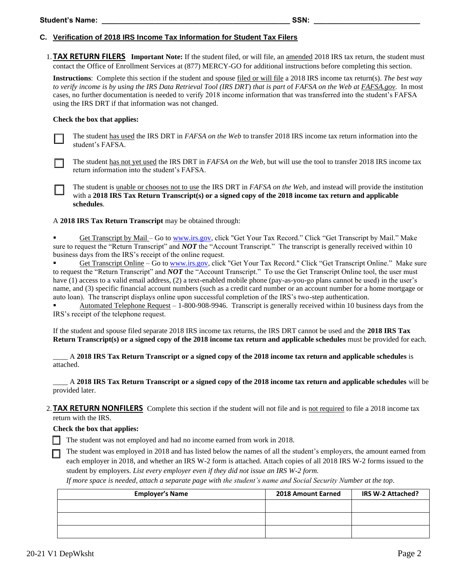# **C. Verification of 2018 IRS Income Tax Information for Student Tax Filers**

1. **TAX RETURN FILERS Important Note:** If the student filed, or will file, an amended 2018 IRS tax return, the student must contact the Office of Enrollment Services at (877) MERCY-GO for additional instructions before completing this section.

**Instructions**: Complete this section if the student and spouse filed or will file a 2018 IRS income tax return(s). *The best way to verify income is by using the IRS Data Retrieval Tool (IRS DRT*) *that is part o*f *FAFSA on the Web at FAFSA.gov.* In most cases, no further documentation is needed to verify 2018 income information that was transferred into the student's FAFSA using the IRS DRT if that information was not changed.

## **Check the box that applies:**

The student has used the IRS DRT in *FAFSA on the Web* to transfer 2018 IRS income tax return information into the student's FAFSA*.* 

The student has not yet used the IRS DRT in *FAFSA on the Web*, but will use the tool to transfer 2018 IRS income tax return information into the student's FAFSA.

The student is unable or chooses not to use the IRS DRT in *FAFSA on the Web*, and instead will provide the institution with a **2018 IRS Tax Return Transcript(s)** or a signed copy of the 2018 income tax return and applicable **schedules**.

A **2018 IRS Tax Return Transcript** may be obtained through:

Get Transcript by Mail – Go to [www.irs.gov,](http://www.irs.gov/) click "Get Your Tax Record." Click "Get Transcript by Mail." Make sure to request the "Return Transcript" and *NOT* the "Account Transcript." The transcript is generally received within 10 business days from the IRS's receipt of the online request.

Get Transcript Online - Go t[o www.irs.gov,](http://www.irs.gov/) click "Get Your Tax Record." Click "Get Transcript Online." Make sure to request the "Return Transcript" and *NOT* the "Account Transcript." To use the Get Transcript Online tool, the user must have (1) access to a valid email address, (2) a text-enabled mobile phone (pay-as-you-go plans cannot be used) in the user's name, and (3) specific financial account numbers (such as a credit card number or an account number for a home mortgage or auto loan). The transcript displays online upon successful completion of the IRS's two-step authentication.

Automated Telephone Request  $-1$ -800-908-9946. Transcript is generally received within 10 business days from the IRS's receipt of the telephone request.

If the student and spouse filed separate 2018 IRS income tax returns, the IRS DRT cannot be used and the **2018 IRS Tax Return Transcript(s) or a signed copy of the 2018 income tax return and applicable schedules** must be provided for each.

*\_\_\_\_* A **2018 IRS Tax Return Transcript or a signed copy of the 2018 income tax return and applicable schedules** is attached.

\_\_\_\_ A **2018 IRS Tax Return Transcript or a signed copy of the 2018 income tax return and applicable schedules** will be provided later.

2. **TAX RETURN NONFILERS** Complete this section if the student will not file and is not required to file a 2018 income tax return with the IRS.

#### **Check the box that applies:**

The student was not employed and had no income earned from work in 2018.

The student was employed in 2018 and has listed below the names of all the student's employers, the amount earned from each employer in 2018, and whether an IRS W-2 form is attached. Attach copies of all 2018 IRS W-2 forms issued to the student by employers. *List every employer even if they did not issue an IRS W-2 form.*

*If more space is needed, attach a separate page with the student's name and Social Security Number at the top*.

| <b>Employer's Name</b> | 2018 Amount Earned | IRS W-2 Attached? |
|------------------------|--------------------|-------------------|
|                        |                    |                   |
|                        |                    |                   |
|                        |                    |                   |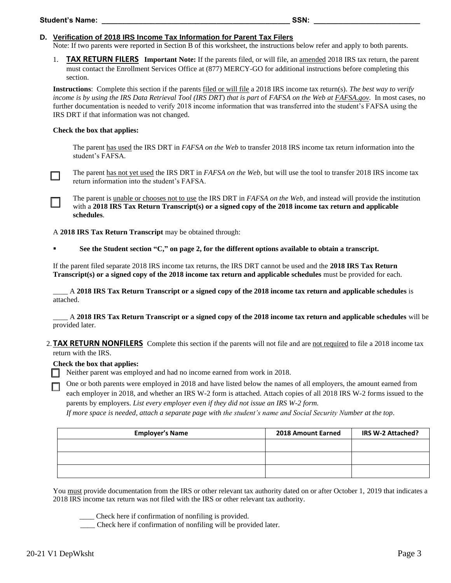## **D. Verification of 2018 IRS Income Tax Information for Parent Tax Filers**

Note: If two parents were reported in Section B of this worksheet, the instructions below refer and apply to both parents.

1. **TAX RETURN FILERS Important Note:** If the parents filed, or will file, an amended 2018 IRS tax return, the parent must contact the Enrollment Services Office at (877) MERCY-GO for additional instructions before completing this section.

**Instructions**: Complete this section if the parents filed or will file a 2018 IRS income tax return(s). *The best way to verify income is by using the IRS Data Retrieval Tool (IRS DRT*) *that is part o*f *FAFSA on the Web at FAFSA.gov.* In most cases, no further documentation is needed to verify 2018 income information that was transferred into the student's FAFSA using the IRS DRT if that information was not changed.

#### **Check the box that applies:**

The parent has used the IRS DRT in *FAFSA on the Web* to transfer 2018 IRS income tax return information into the student's FAFSA*.* 

The parent has not yet used the IRS DRT in *FAFSA on the Web*, but will use the tool to transfer 2018 IRS income tax return information into the student's FAFSA.

The parent is unable or chooses not to use the IRS DRT in *FAFSA on the Web*, and instead will provide the institution with a **2018 IRS Tax Return Transcript(s)** or a signed copy of the **2018 income tax return and applicable schedules**.

A **2018 IRS Tax Return Transcript** may be obtained through:

▪ **See the Student section "C," on page 2, for the different options available to obtain a transcript.**

If the parent filed separate 2018 IRS income tax returns, the IRS DRT cannot be used and the **2018 IRS Tax Return Transcript(s) or a signed copy of the 2018 income tax return and applicable schedules** must be provided for each.

*\_\_\_\_* A **2018 IRS Tax Return Transcript or a signed copy of the 2018 income tax return and applicable schedules** is attached.

\_\_\_\_ A **2018 IRS Tax Return Transcript or a signed copy of the 2018 income tax return and applicable schedules** will be provided later.

2. **TAX RETURN NONFILERS** Complete this section if the parents will not file and are not required to file a 2018 income tax return with the IRS.

# **Check the box that applies:**

Neither parent was employed and had no income earned from work in 2018.

One or both parents were employed in 2018 and have listed below the names of all employers, the amount earned from each employer in 2018, and whether an IRS W-2 form is attached. Attach copies of all 2018 IRS W-2 forms issued to the parents by employers. *List every employer even if they did not issue an IRS W-2 form.*

*If more space is needed, attach a separate page with the student's name and Social Security Number at the top*.

| <b>Employer's Name</b> | 2018 Amount Earned | IRS W-2 Attached? |
|------------------------|--------------------|-------------------|
|                        |                    |                   |
|                        |                    |                   |
|                        |                    |                   |

You must provide documentation from the IRS or other relevant tax authority dated on or after October 1, 2019 that indicates a 2018 IRS income tax return was not filed with the IRS or other relevant tax authority.

\_\_\_\_ Check here if confirmation of nonfiling is provided.

\_\_\_\_ Check here if confirmation of nonfiling will be provided later.